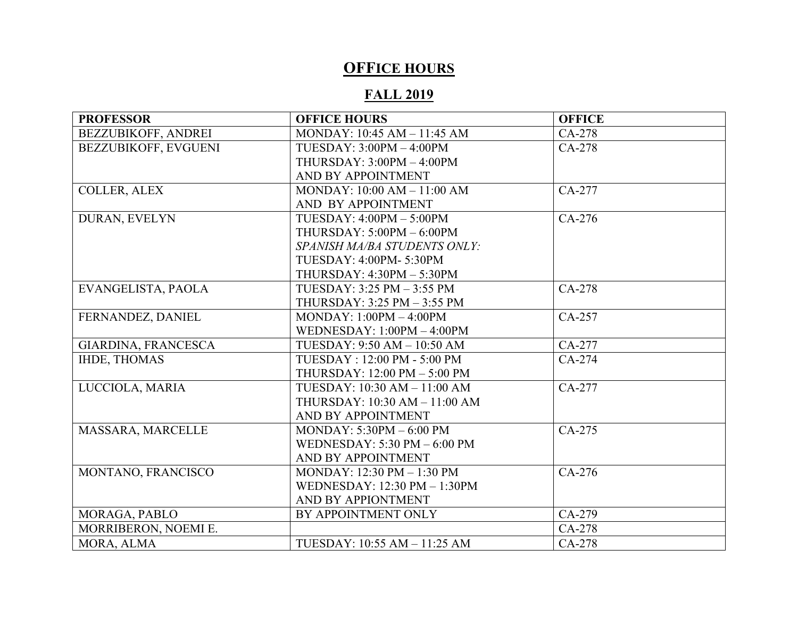## **OFFICE HOURS**

## **FALL 2019**

| <b>PROFESSOR</b>            | <b>OFFICE HOURS</b>             | <b>OFFICE</b> |
|-----------------------------|---------------------------------|---------------|
| <b>BEZZUBIKOFF, ANDREI</b>  | MONDAY: 10:45 AM - 11:45 AM     | CA-278        |
| <b>BEZZUBIKOFF, EVGUENI</b> | $TUESDAY: 3:00PM - 4:00PM$      | CA-278        |
|                             | THURSDAY: $3:00PM - 4:00PM$     |               |
|                             | AND BY APPOINTMENT              |               |
| <b>COLLER, ALEX</b>         | MONDAY: 10:00 AM - 11:00 AM     | CA-277        |
|                             | AND BY APPOINTMENT              |               |
| DURAN, EVELYN               | TUESDAY: $4:00PM - 5:00PM$      | CA-276        |
|                             | THURSDAY: $5:00PM - 6:00PM$     |               |
|                             | SPANISH MA/BA STUDENTS ONLY:    |               |
|                             | TUESDAY: 4:00PM-5:30PM          |               |
|                             | THURSDAY: 4:30PM - 5:30PM       |               |
| EVANGELISTA, PAOLA          | TUESDAY: 3:25 PM - 3:55 PM      | CA-278        |
|                             | THURSDAY: 3:25 PM - 3:55 PM     |               |
| FERNANDEZ, DANIEL           | $MONDAY: 1:00PM - 4:00PM$       | CA-257        |
|                             | WEDNESDAY: $1:00PM - 4:00PM$    |               |
| GIARDINA, FRANCESCA         | TUESDAY: 9:50 AM - 10:50 AM     | CA-277        |
| <b>IHDE, THOMAS</b>         | TUESDAY: 12:00 PM - 5:00 PM     | CA-274        |
|                             | THURSDAY: 12:00 PM - 5:00 PM    |               |
| LUCCIOLA, MARIA             | TUESDAY: 10:30 AM - 11:00 AM    | CA-277        |
|                             | THURSDAY: 10:30 AM - 11:00 AM   |               |
|                             | AND BY APPOINTMENT              |               |
| MASSARA, MARCELLE           | MONDAY: $5:30PM - 6:00 PM$      | CA-275        |
|                             | WEDNESDAY: $5:30$ PM $-6:00$ PM |               |
|                             | AND BY APPOINTMENT              |               |
| MONTANO, FRANCISCO          | MONDAY: 12:30 PM - 1:30 PM      | CA-276        |
|                             | WEDNESDAY: 12:30 PM - 1:30PM    |               |
|                             | AND BY APPIONTMENT              |               |
| MORAGA, PABLO               | BY APPOINTMENT ONLY             | CA-279        |
| MORRIBERON, NOEMI E.        |                                 | CA-278        |
| MORA, ALMA                  | TUESDAY: 10:55 AM - 11:25 AM    | CA-278        |